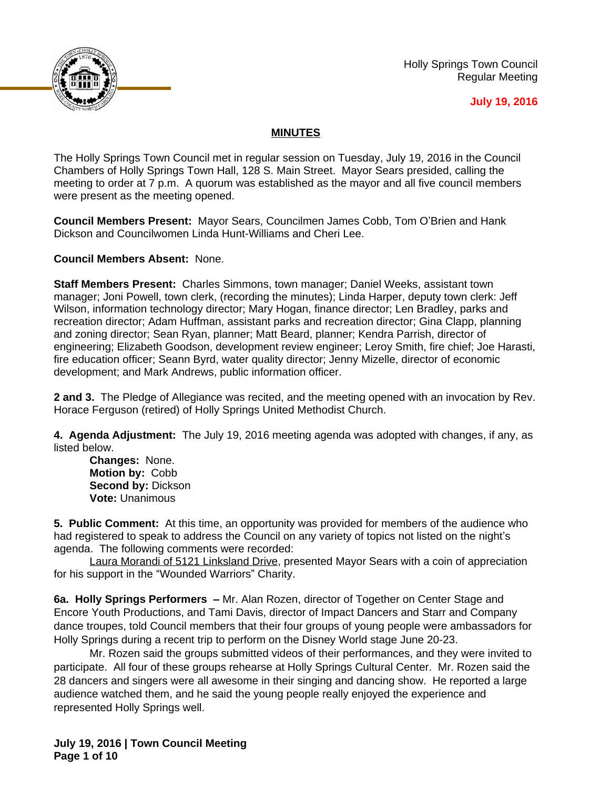

Holly Springs Town Council Regular Meeting

### **July 19, 2016**

## **MINUTES**

The Holly Springs Town Council met in regular session on Tuesday, July 19, 2016 in the Council Chambers of Holly Springs Town Hall, 128 S. Main Street. Mayor Sears presided, calling the meeting to order at 7 p.m. A quorum was established as the mayor and all five council members were present as the meeting opened.

**Council Members Present:** Mayor Sears, Councilmen James Cobb, Tom O'Brien and Hank Dickson and Councilwomen Linda Hunt-Williams and Cheri Lee.

**Council Members Absent:** None.

**Staff Members Present:** Charles Simmons, town manager; Daniel Weeks, assistant town manager; Joni Powell, town clerk, (recording the minutes); Linda Harper, deputy town clerk: Jeff Wilson, information technology director; Mary Hogan, finance director; Len Bradley, parks and recreation director; Adam Huffman, assistant parks and recreation director; Gina Clapp, planning and zoning director; Sean Ryan, planner; Matt Beard, planner; Kendra Parrish, director of engineering; Elizabeth Goodson, development review engineer; Leroy Smith, fire chief; Joe Harasti, fire education officer; Seann Byrd, water quality director; Jenny Mizelle, director of economic development; and Mark Andrews, public information officer.

**2 and 3.** The Pledge of Allegiance was recited, and the meeting opened with an invocation by Rev. Horace Ferguson (retired) of Holly Springs United Methodist Church.

**4. Agenda Adjustment:** The July 19, 2016 meeting agenda was adopted with changes, if any, as listed below.

**Changes:** None. **Motion by:** Cobb **Second by:** Dickson **Vote:** Unanimous

**5. Public Comment:** At this time, an opportunity was provided for members of the audience who had registered to speak to address the Council on any variety of topics not listed on the night's agenda. The following comments were recorded:

Laura Morandi of 5121 Linksland Drive, presented Mayor Sears with a coin of appreciation for his support in the "Wounded Warriors" Charity.

**6a. Holly Springs Performers –** Mr. Alan Rozen, director of Together on Center Stage and Encore Youth Productions, and Tami Davis, director of Impact Dancers and Starr and Company dance troupes, told Council members that their four groups of young people were ambassadors for Holly Springs during a recent trip to perform on the Disney World stage June 20-23.

Mr. Rozen said the groups submitted videos of their performances, and they were invited to participate. All four of these groups rehearse at Holly Springs Cultural Center. Mr. Rozen said the 28 dancers and singers were all awesome in their singing and dancing show. He reported a large audience watched them, and he said the young people really enjoyed the experience and represented Holly Springs well.

**July 19, 2016 | Town Council Meeting Page 1 of 10**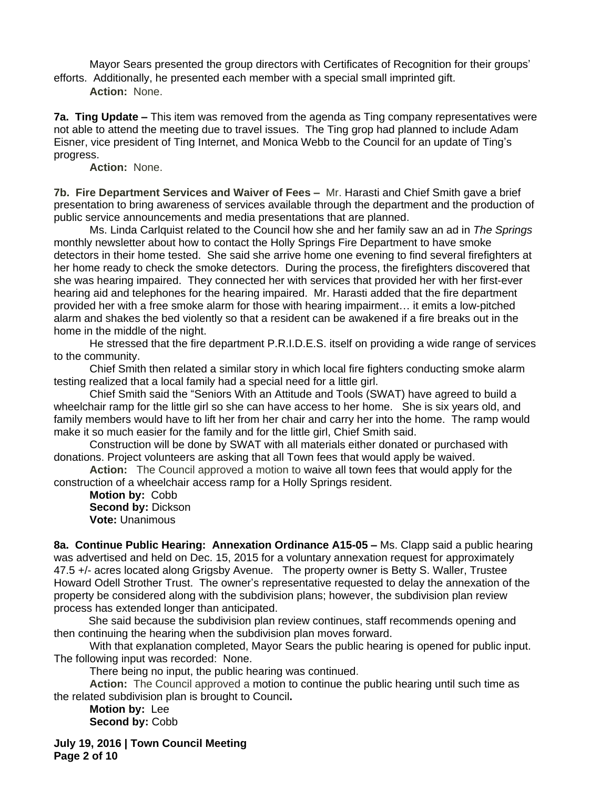Mayor Sears presented the group directors with Certificates of Recognition for their groups' efforts. Additionally, he presented each member with a special small imprinted gift.

**Action:** None.

**7a. Ting Update –** This item was removed from the agenda as Ting company representatives were not able to attend the meeting due to travel issues. The Ting grop had planned to include Adam Eisner, vice president of Ting Internet, and Monica Webb to the Council for an update of Ting's progress.

**Action:** None.

**7b. Fire Department Services and Waiver of Fees –** Mr. Harasti and Chief Smith gave a brief presentation to bring awareness of services available through the department and the production of public service announcements and media presentations that are planned.

Ms. Linda Carlquist related to the Council how she and her family saw an ad in *The Springs* monthly newsletter about how to contact the Holly Springs Fire Department to have smoke detectors in their home tested. She said she arrive home one evening to find several firefighters at her home ready to check the smoke detectors. During the process, the firefighters discovered that she was hearing impaired. They connected her with services that provided her with her first-ever hearing aid and telephones for the hearing impaired. Mr. Harasti added that the fire department provided her with a free smoke alarm for those with hearing impairment… it emits a low-pitched alarm and shakes the bed violently so that a resident can be awakened if a fire breaks out in the home in the middle of the night.

He stressed that the fire department P.R.I.D.E.S. itself on providing a wide range of services to the community.

Chief Smith then related a similar story in which local fire fighters conducting smoke alarm testing realized that a local family had a special need for a little girl.

Chief Smith said the "Seniors With an Attitude and Tools (SWAT) have agreed to build a wheelchair ramp for the little girl so she can have access to her home. She is six years old, and family members would have to lift her from her chair and carry her into the home. The ramp would make it so much easier for the family and for the little girl, Chief Smith said.

Construction will be done by SWAT with all materials either donated or purchased with donations. Project volunteers are asking that all Town fees that would apply be waived.

**Action:** The Council approved a motion to waive all town fees that would apply for the construction of a wheelchair access ramp for a Holly Springs resident.

**Motion by:** Cobb **Second by:** Dickson **Vote:** Unanimous

**8a. Continue Public Hearing: Annexation Ordinance A15-05 – Ms. Clapp said a public hearing** was advertised and held on Dec. 15, 2015 for a voluntary annexation request for approximately 47.5 +/- acres located along Grigsby Avenue. The property owner is Betty S. Waller, Trustee Howard Odell Strother Trust. The owner's representative requested to delay the annexation of the property be considered along with the subdivision plans; however, the subdivision plan review process has extended longer than anticipated.

She said because the subdivision plan review continues, staff recommends opening and then continuing the hearing when the subdivision plan moves forward.

With that explanation completed, Mayor Sears the public hearing is opened for public input. The following input was recorded: None.

There being no input, the public hearing was continued.

**Action:** The Council approved a motion to continue the public hearing until such time as the related subdivision plan is brought to Council**.**

**Motion by:** Lee **Second by:** Cobb

**July 19, 2016 | Town Council Meeting Page 2 of 10**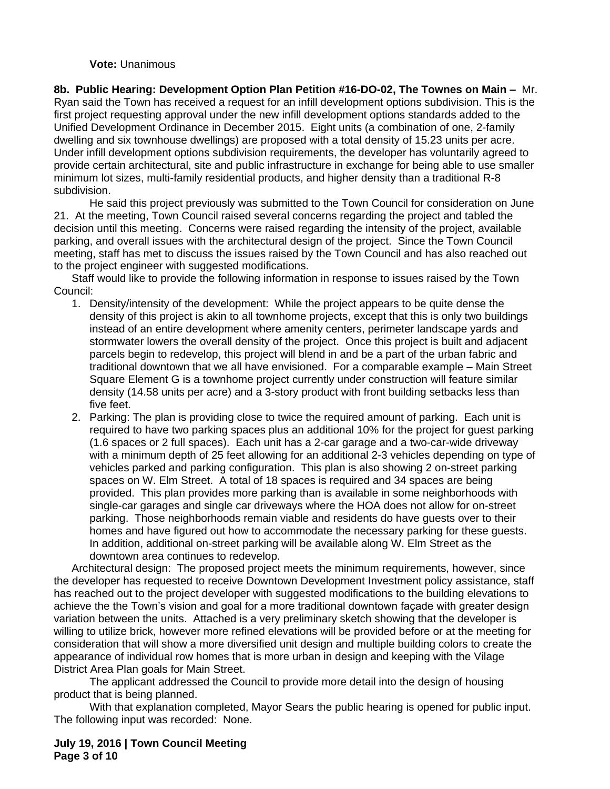### **Vote:** Unanimous

**8b. Public Hearing: Development Option Plan Petition #16-DO-02, The Townes on Main –** Mr. Ryan said the Town has received a request for an infill development options subdivision. This is the first project requesting approval under the new infill development options standards added to the Unified Development Ordinance in December 2015. Eight units (a combination of one, 2-family dwelling and six townhouse dwellings) are proposed with a total density of 15.23 units per acre. Under infill development options subdivision requirements, the developer has voluntarily agreed to provide certain architectural, site and public infrastructure in exchange for being able to use smaller minimum lot sizes, multi-family residential products, and higher density than a traditional R-8 subdivision.

He said this project previously was submitted to the Town Council for consideration on June 21. At the meeting, Town Council raised several concerns regarding the project and tabled the decision until this meeting. Concerns were raised regarding the intensity of the project, available parking, and overall issues with the architectural design of the project. Since the Town Council meeting, staff has met to discuss the issues raised by the Town Council and has also reached out to the project engineer with suggested modifications.

Staff would like to provide the following information in response to issues raised by the Town Council:

- 1. Density/intensity of the development: While the project appears to be quite dense the density of this project is akin to all townhome projects, except that this is only two buildings instead of an entire development where amenity centers, perimeter landscape yards and stormwater lowers the overall density of the project. Once this project is built and adjacent parcels begin to redevelop, this project will blend in and be a part of the urban fabric and traditional downtown that we all have envisioned. For a comparable example – Main Street Square Element G is a townhome project currently under construction will feature similar density (14.58 units per acre) and a 3-story product with front building setbacks less than five feet.
- 2. Parking: The plan is providing close to twice the required amount of parking. Each unit is required to have two parking spaces plus an additional 10% for the project for guest parking (1.6 spaces or 2 full spaces). Each unit has a 2-car garage and a two-car-wide driveway with a minimum depth of 25 feet allowing for an additional 2-3 vehicles depending on type of vehicles parked and parking configuration. This plan is also showing 2 on-street parking spaces on W. Elm Street. A total of 18 spaces is required and 34 spaces are being provided. This plan provides more parking than is available in some neighborhoods with single-car garages and single car driveways where the HOA does not allow for on-street parking. Those neighborhoods remain viable and residents do have guests over to their homes and have figured out how to accommodate the necessary parking for these guests. In addition, additional on-street parking will be available along W. Elm Street as the downtown area continues to redevelop.

Architectural design: The proposed project meets the minimum requirements, however, since the developer has requested to receive Downtown Development Investment policy assistance, staff has reached out to the project developer with suggested modifications to the building elevations to achieve the the Town's vision and goal for a more traditional downtown façade with greater design variation between the units. Attached is a very preliminary sketch showing that the developer is willing to utilize brick, however more refined elevations will be provided before or at the meeting for consideration that will show a more diversified unit design and multiple building colors to create the appearance of individual row homes that is more urban in design and keeping with the Vilage District Area Plan goals for Main Street.

The applicant addressed the Council to provide more detail into the design of housing product that is being planned.

With that explanation completed, Mayor Sears the public hearing is opened for public input. The following input was recorded: None.

**July 19, 2016 | Town Council Meeting Page 3 of 10**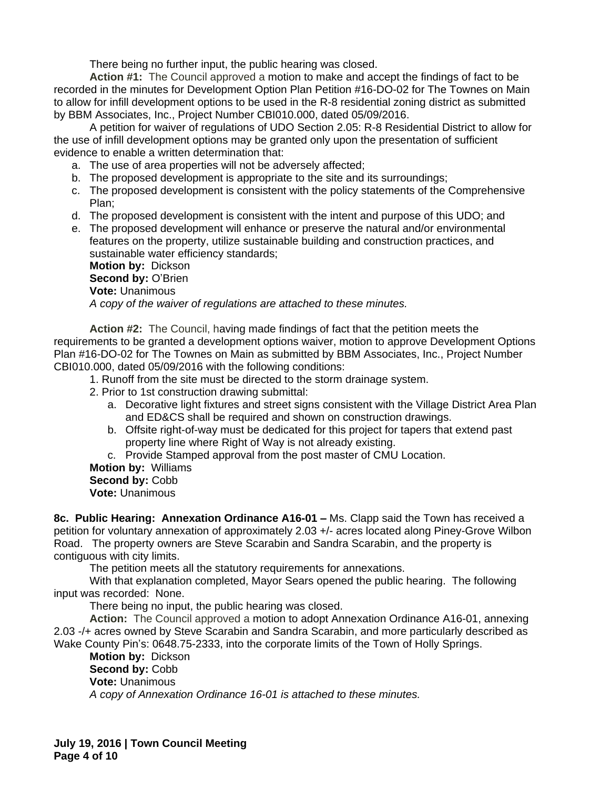There being no further input, the public hearing was closed.

**Action #1:** The Council approved a motion to make and accept the findings of fact to be recorded in the minutes for Development Option Plan Petition #16-DO-02 for The Townes on Main to allow for infill development options to be used in the R-8 residential zoning district as submitted by BBM Associates, Inc., Project Number CBI010.000, dated 05/09/2016.

A petition for waiver of regulations of UDO Section 2.05: R-8 Residential District to allow for the use of infill development options may be granted only upon the presentation of sufficient evidence to enable a written determination that:

- a. The use of area properties will not be adversely affected;
- b. The proposed development is appropriate to the site and its surroundings;
- c. The proposed development is consistent with the policy statements of the Comprehensive Plan;
- d. The proposed development is consistent with the intent and purpose of this UDO; and
- e. The proposed development will enhance or preserve the natural and/or environmental features on the property, utilize sustainable building and construction practices, and sustainable water efficiency standards;

**Motion by:** Dickson **Second by:** O'Brien **Vote:** Unanimous *A copy of the waiver of regulations are attached to these minutes.*

**Action #2:** The Council, having made findings of fact that the petition meets the requirements to be granted a development options waiver, motion to approve Development Options Plan #16-DO-02 for The Townes on Main as submitted by BBM Associates, Inc., Project Number CBI010.000, dated 05/09/2016 with the following conditions:

- 1. Runoff from the site must be directed to the storm drainage system.
- 2. Prior to 1st construction drawing submittal:
	- a. Decorative light fixtures and street signs consistent with the Village District Area Plan and ED&CS shall be required and shown on construction drawings.
	- b. Offsite right-of-way must be dedicated for this project for tapers that extend past property line where Right of Way is not already existing.
	- c. Provide Stamped approval from the post master of CMU Location.
- **Motion by:** Williams **Second by:** Cobb
- **Vote:** Unanimous

**8c. Public Hearing: Annexation Ordinance A16-01 –** Ms. Clapp said the Town has received a petition for voluntary annexation of approximately 2.03 +/- acres located along Piney-Grove Wilbon Road. The property owners are Steve Scarabin and Sandra Scarabin, and the property is contiguous with city limits.

The petition meets all the statutory requirements for annexations.

With that explanation completed, Mayor Sears opened the public hearing. The following input was recorded: None.

There being no input, the public hearing was closed.

**Action:** The Council approved a motion to adopt Annexation Ordinance A16-01, annexing 2.03 -/+ acres owned by Steve Scarabin and Sandra Scarabin, and more particularly described as Wake County Pin's: 0648.75-2333, into the corporate limits of the Town of Holly Springs.

**Motion by:** Dickson Second by: Cobb **Vote:** Unanimous *A copy of Annexation Ordinance 16-01 is attached to these minutes.*

**July 19, 2016 | Town Council Meeting Page 4 of 10**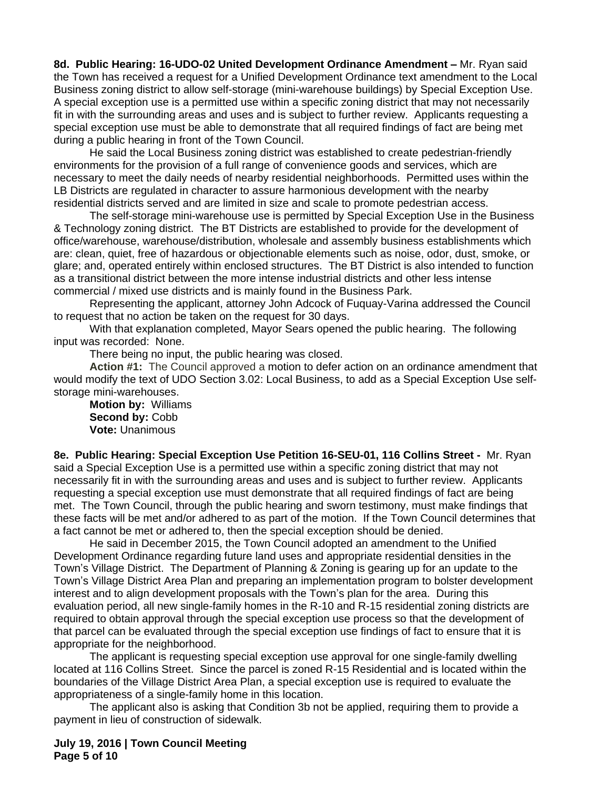**8d. Public Hearing: 16-UDO-02 United Development Ordinance Amendment –** Mr. Ryan said the Town has received a request for a Unified Development Ordinance text amendment to the Local Business zoning district to allow self-storage (mini-warehouse buildings) by Special Exception Use. A special exception use is a permitted use within a specific zoning district that may not necessarily fit in with the surrounding areas and uses and is subject to further review. Applicants requesting a special exception use must be able to demonstrate that all required findings of fact are being met during a public hearing in front of the Town Council.

He said the Local Business zoning district was established to create pedestrian-friendly environments for the provision of a full range of convenience goods and services, which are necessary to meet the daily needs of nearby residential neighborhoods. Permitted uses within the LB Districts are regulated in character to assure harmonious development with the nearby residential districts served and are limited in size and scale to promote pedestrian access.

The self-storage mini-warehouse use is permitted by Special Exception Use in the Business & Technology zoning district. The BT Districts are established to provide for the development of office/warehouse, warehouse/distribution, wholesale and assembly business establishments which are: clean, quiet, free of hazardous or objectionable elements such as noise, odor, dust, smoke, or glare; and, operated entirely within enclosed structures. The BT District is also intended to function as a transitional district between the more intense industrial districts and other less intense commercial / mixed use districts and is mainly found in the Business Park.

Representing the applicant, attorney John Adcock of Fuquay-Varina addressed the Council to request that no action be taken on the request for 30 days.

With that explanation completed, Mayor Sears opened the public hearing. The following input was recorded: None.

There being no input, the public hearing was closed.

**Action #1:** The Council approved a motion to defer action on an ordinance amendment that would modify the text of UDO Section 3.02: Local Business, to add as a Special Exception Use selfstorage mini-warehouses.

**Motion by:** Williams **Second by:** Cobb **Vote:** Unanimous

**8e. Public Hearing: Special Exception Use Petition 16-SEU-01, 116 Collins Street -** Mr. Ryan said a Special Exception Use is a permitted use within a specific zoning district that may not necessarily fit in with the surrounding areas and uses and is subject to further review. Applicants requesting a special exception use must demonstrate that all required findings of fact are being met. The Town Council, through the public hearing and sworn testimony, must make findings that these facts will be met and/or adhered to as part of the motion. If the Town Council determines that a fact cannot be met or adhered to, then the special exception should be denied.

He said in December 2015, the Town Council adopted an amendment to the Unified Development Ordinance regarding future land uses and appropriate residential densities in the Town's Village District. The Department of Planning & Zoning is gearing up for an update to the Town's Village District Area Plan and preparing an implementation program to bolster development interest and to align development proposals with the Town's plan for the area. During this evaluation period, all new single-family homes in the R-10 and R-15 residential zoning districts are required to obtain approval through the special exception use process so that the development of that parcel can be evaluated through the special exception use findings of fact to ensure that it is appropriate for the neighborhood.

The applicant is requesting special exception use approval for one single-family dwelling located at 116 Collins Street. Since the parcel is zoned R-15 Residential and is located within the boundaries of the Village District Area Plan, a special exception use is required to evaluate the appropriateness of a single-family home in this location.

The applicant also is asking that Condition 3b not be applied, requiring them to provide a payment in lieu of construction of sidewalk.

**July 19, 2016 | Town Council Meeting Page 5 of 10**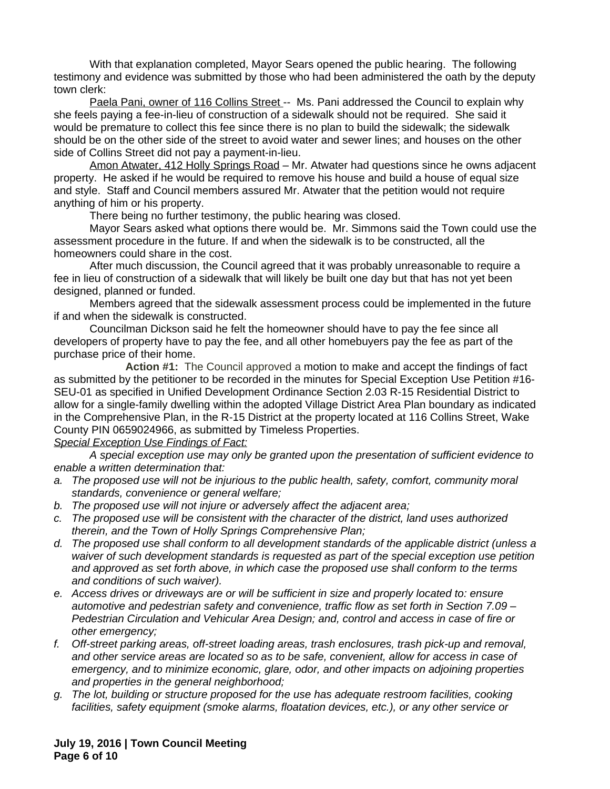With that explanation completed, Mayor Sears opened the public hearing. The following testimony and evidence was submitted by those who had been administered the oath by the deputy town clerk:

Paela Pani, owner of 116 Collins Street -- Ms. Pani addressed the Council to explain why she feels paying a fee-in-lieu of construction of a sidewalk should not be required. She said it would be premature to collect this fee since there is no plan to build the sidewalk; the sidewalk should be on the other side of the street to avoid water and sewer lines; and houses on the other side of Collins Street did not pay a payment-in-lieu.

Amon Atwater, 412 Holly Springs Road – Mr. Atwater had questions since he owns adjacent property. He asked if he would be required to remove his house and build a house of equal size and style. Staff and Council members assured Mr. Atwater that the petition would not require anything of him or his property.

There being no further testimony, the public hearing was closed.

Mayor Sears asked what options there would be. Mr. Simmons said the Town could use the assessment procedure in the future. If and when the sidewalk is to be constructed, all the homeowners could share in the cost.

After much discussion, the Council agreed that it was probably unreasonable to require a fee in lieu of construction of a sidewalk that will likely be built one day but that has not yet been designed, planned or funded.

Members agreed that the sidewalk assessment process could be implemented in the future if and when the sidewalk is constructed.

Councilman Dickson said he felt the homeowner should have to pay the fee since all developers of property have to pay the fee, and all other homebuyers pay the fee as part of the purchase price of their home.

**Action #1:** The Council approved a motion to make and accept the findings of fact as submitted by the petitioner to be recorded in the minutes for Special Exception Use Petition #16- SEU-01 as specified in Unified Development Ordinance Section 2.03 R-15 Residential District to allow for a single-family dwelling within the adopted Village District Area Plan boundary as indicated in the Comprehensive Plan, in the R-15 District at the property located at 116 Collins Street, Wake County PIN 0659024966, as submitted by Timeless Properties.

### *Special Exception Use Findings of Fact:*

*A special exception use may only be granted upon the presentation of sufficient evidence to enable a written determination that:*

- *a. The proposed use will not be injurious to the public health, safety, comfort, community moral standards, convenience or general welfare;*
- *b. The proposed use will not injure or adversely affect the adjacent area;*
- *c. The proposed use will be consistent with the character of the district, land uses authorized therein, and the Town of Holly Springs Comprehensive Plan;*
- *d. The proposed use shall conform to all development standards of the applicable district (unless a waiver of such development standards is requested as part of the special exception use petition and approved as set forth above, in which case the proposed use shall conform to the terms and conditions of such waiver).*
- *e. Access drives or driveways are or will be sufficient in size and properly located to: ensure automotive and pedestrian safety and convenience, traffic flow as set forth in Section 7.09 – Pedestrian Circulation and Vehicular Area Design; and, control and access in case of fire or other emergency;*
- *f. Off-street parking areas, off-street loading areas, trash enclosures, trash pick-up and removal, and other service areas are located so as to be safe, convenient, allow for access in case of emergency, and to minimize economic, glare, odor, and other impacts on adjoining properties and properties in the general neighborhood;*
- *g. The lot, building or structure proposed for the use has adequate restroom facilities, cooking facilities, safety equipment (smoke alarms, floatation devices, etc.), or any other service or*

**July 19, 2016 | Town Council Meeting Page 6 of 10**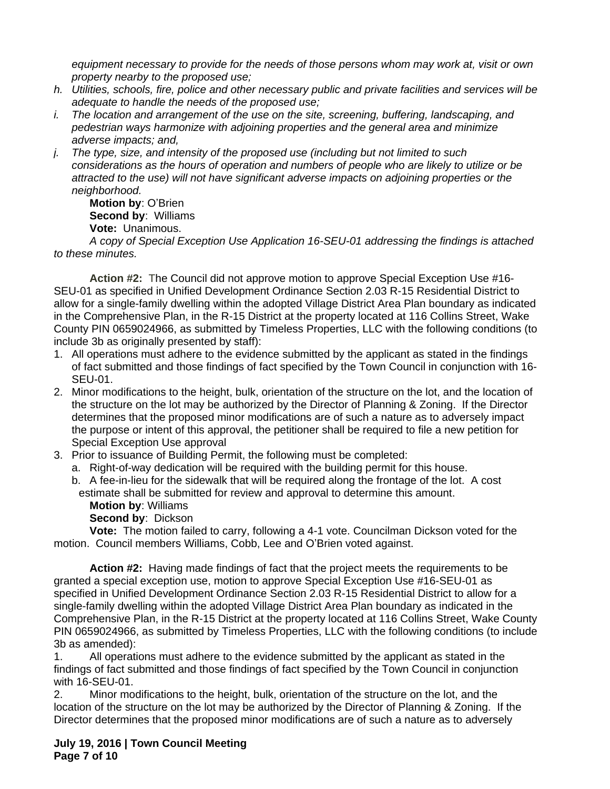*equipment necessary to provide for the needs of those persons whom may work at, visit or own property nearby to the proposed use;*

- *h. Utilities, schools, fire, police and other necessary public and private facilities and services will be adequate to handle the needs of the proposed use;*
- *i. The location and arrangement of the use on the site, screening, buffering, landscaping, and pedestrian ways harmonize with adjoining properties and the general area and minimize adverse impacts; and,*
- *j. The type, size, and intensity of the proposed use (including but not limited to such considerations as the hours of operation and numbers of people who are likely to utilize or be attracted to the use) will not have significant adverse impacts on adjoining properties or the neighborhood.*

**Motion by**: O'Brien **Second by**: Williams **Vote:** Unanimous.

*A copy of Special Exception Use Application 16-SEU-01 addressing the findings is attached to these minutes.*

**Action #2:** The Council did not approve motion to approve Special Exception Use #16- SEU-01 as specified in Unified Development Ordinance Section 2.03 R-15 Residential District to allow for a single-family dwelling within the adopted Village District Area Plan boundary as indicated in the Comprehensive Plan, in the R-15 District at the property located at 116 Collins Street, Wake County PIN 0659024966, as submitted by Timeless Properties, LLC with the following conditions (to include 3b as originally presented by staff):

- 1. All operations must adhere to the evidence submitted by the applicant as stated in the findings of fact submitted and those findings of fact specified by the Town Council in conjunction with 16- SEU-01.
- 2. Minor modifications to the height, bulk, orientation of the structure on the lot, and the location of the structure on the lot may be authorized by the Director of Planning & Zoning. If the Director determines that the proposed minor modifications are of such a nature as to adversely impact the purpose or intent of this approval, the petitioner shall be required to file a new petition for Special Exception Use approval
- 3. Prior to issuance of Building Permit, the following must be completed:
	- a. Right-of-way dedication will be required with the building permit for this house.
	- b. A fee-in-lieu for the sidewalk that will be required along the frontage of the lot. A cost estimate shall be submitted for review and approval to determine this amount.
		- **Motion by**: Williams

**Second by**: Dickson

**Vote:** The motion failed to carry, following a 4-1 vote. Councilman Dickson voted for the motion. Council members Williams, Cobb, Lee and O'Brien voted against.

**Action #2:** Having made findings of fact that the project meets the requirements to be granted a special exception use, motion to approve Special Exception Use #16-SEU-01 as specified in Unified Development Ordinance Section 2.03 R-15 Residential District to allow for a single-family dwelling within the adopted Village District Area Plan boundary as indicated in the Comprehensive Plan, in the R-15 District at the property located at 116 Collins Street, Wake County PIN 0659024966, as submitted by Timeless Properties, LLC with the following conditions (to include 3b as amended):

1. All operations must adhere to the evidence submitted by the applicant as stated in the findings of fact submitted and those findings of fact specified by the Town Council in conjunction with 16-SEU-01.

2. Minor modifications to the height, bulk, orientation of the structure on the lot, and the location of the structure on the lot may be authorized by the Director of Planning & Zoning. If the Director determines that the proposed minor modifications are of such a nature as to adversely

**July 19, 2016 | Town Council Meeting Page 7 of 10**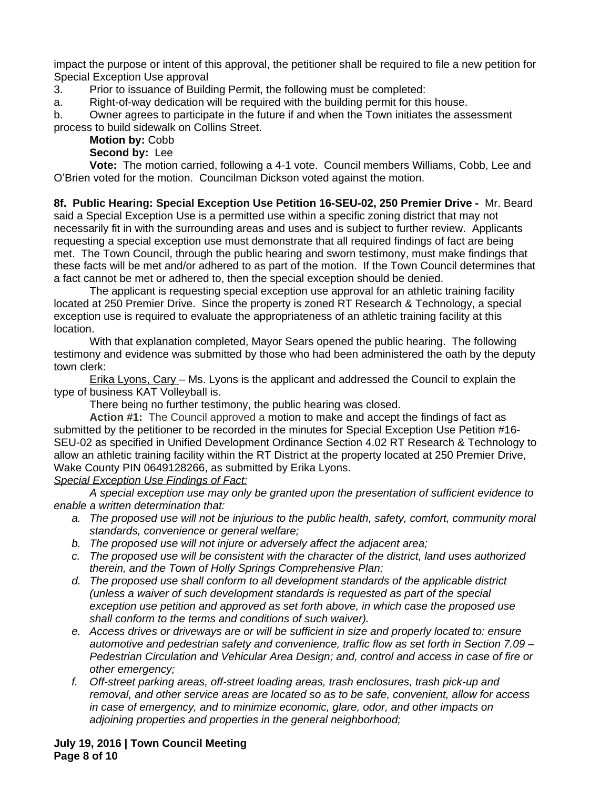impact the purpose or intent of this approval, the petitioner shall be required to file a new petition for Special Exception Use approval

3. Prior to issuance of Building Permit, the following must be completed:

a. Right-of-way dedication will be required with the building permit for this house.

b. Owner agrees to participate in the future if and when the Town initiates the assessment process to build sidewalk on Collins Street.

# **Motion by:** Cobb

## **Second by:** Lee

**Vote:** The motion carried, following a 4-1 vote. Council members Williams, Cobb, Lee and O'Brien voted for the motion. Councilman Dickson voted against the motion.

**8f. Public Hearing: Special Exception Use Petition 16-SEU-02, 250 Premier Drive -** Mr. Beard said a Special Exception Use is a permitted use within a specific zoning district that may not necessarily fit in with the surrounding areas and uses and is subject to further review. Applicants requesting a special exception use must demonstrate that all required findings of fact are being met. The Town Council, through the public hearing and sworn testimony, must make findings that these facts will be met and/or adhered to as part of the motion. If the Town Council determines that a fact cannot be met or adhered to, then the special exception should be denied.

The applicant is requesting special exception use approval for an athletic training facility located at 250 Premier Drive. Since the property is zoned RT Research & Technology, a special exception use is required to evaluate the appropriateness of an athletic training facility at this location.

With that explanation completed, Mayor Sears opened the public hearing. The following testimony and evidence was submitted by those who had been administered the oath by the deputy town clerk:

Erika Lyons, Cary – Ms. Lyons is the applicant and addressed the Council to explain the type of business KAT Volleyball is.

There being no further testimony, the public hearing was closed.

**Action #1:** The Council approved a motion to make and accept the findings of fact as submitted by the petitioner to be recorded in the minutes for Special Exception Use Petition #16- SEU-02 as specified in Unified Development Ordinance Section 4.02 RT Research & Technology to allow an athletic training facility within the RT District at the property located at 250 Premier Drive, Wake County PIN 0649128266, as submitted by Erika Lyons.

## *Special Exception Use Findings of Fact:*

*A special exception use may only be granted upon the presentation of sufficient evidence to enable a written determination that:*

- *a. The proposed use will not be injurious to the public health, safety, comfort, community moral standards, convenience or general welfare;*
- *b. The proposed use will not injure or adversely affect the adjacent area;*
- *c. The proposed use will be consistent with the character of the district, land uses authorized therein, and the Town of Holly Springs Comprehensive Plan;*
- *d. The proposed use shall conform to all development standards of the applicable district (unless a waiver of such development standards is requested as part of the special exception use petition and approved as set forth above, in which case the proposed use shall conform to the terms and conditions of such waiver).*
- *e. Access drives or driveways are or will be sufficient in size and properly located to: ensure automotive and pedestrian safety and convenience, traffic flow as set forth in Section 7.09 – Pedestrian Circulation and Vehicular Area Design; and, control and access in case of fire or other emergency;*
- *f. Off-street parking areas, off-street loading areas, trash enclosures, trash pick-up and removal, and other service areas are located so as to be safe, convenient, allow for access in case of emergency, and to minimize economic, glare, odor, and other impacts on adjoining properties and properties in the general neighborhood;*

**July 19, 2016 | Town Council Meeting Page 8 of 10**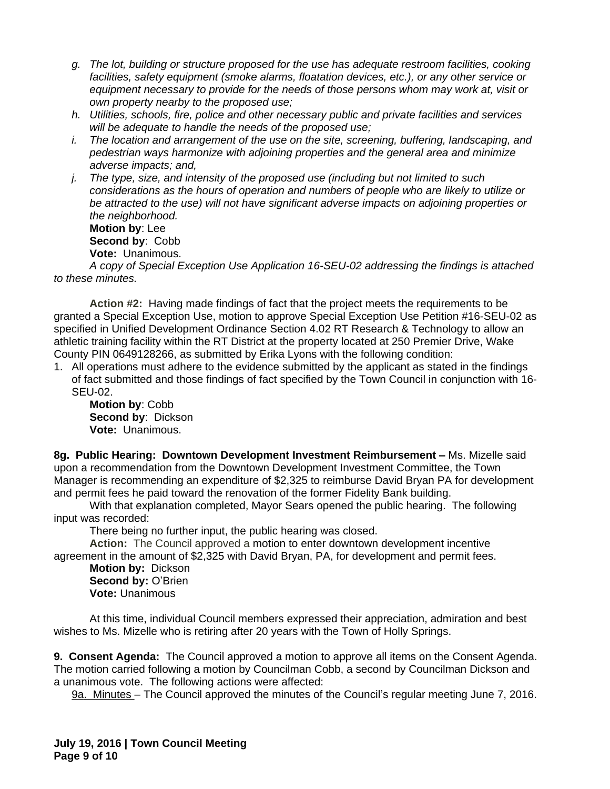- *g. The lot, building or structure proposed for the use has adequate restroom facilities, cooking facilities, safety equipment (smoke alarms, floatation devices, etc.), or any other service or equipment necessary to provide for the needs of those persons whom may work at, visit or own property nearby to the proposed use;*
- *h. Utilities, schools, fire, police and other necessary public and private facilities and services will be adequate to handle the needs of the proposed use;*
- *i. The location and arrangement of the use on the site, screening, buffering, landscaping, and pedestrian ways harmonize with adjoining properties and the general area and minimize adverse impacts; and,*
- *j. The type, size, and intensity of the proposed use (including but not limited to such considerations as the hours of operation and numbers of people who are likely to utilize or be attracted to the use) will not have significant adverse impacts on adjoining properties or the neighborhood.*

**Motion by**: Lee **Second by**: Cobb **Vote:** Unanimous.

*A copy of Special Exception Use Application 16-SEU-02 addressing the findings is attached to these minutes.*

**Action #2:** Having made findings of fact that the project meets the requirements to be granted a Special Exception Use, motion to approve Special Exception Use Petition #16-SEU-02 as specified in Unified Development Ordinance Section 4.02 RT Research & Technology to allow an athletic training facility within the RT District at the property located at 250 Premier Drive, Wake County PIN 0649128266, as submitted by Erika Lyons with the following condition:

1. All operations must adhere to the evidence submitted by the applicant as stated in the findings of fact submitted and those findings of fact specified by the Town Council in conjunction with 16- SEU-02.

**Motion by**: Cobb **Second by**: Dickson **Vote:** Unanimous.

**8g. Public Hearing: Downtown Development Investment Reimbursement –** Ms. Mizelle said upon a recommendation from the Downtown Development Investment Committee, the Town Manager is recommending an expenditure of \$2,325 to reimburse David Bryan PA for development and permit fees he paid toward the renovation of the former Fidelity Bank building.

With that explanation completed, Mayor Sears opened the public hearing. The following input was recorded:

There being no further input, the public hearing was closed.

**Action:** The Council approved a motion to enter downtown development incentive agreement in the amount of \$2,325 with David Bryan, PA, for development and permit fees.

**Motion by:** Dickson **Second by:** O'Brien **Vote:** Unanimous

At this time, individual Council members expressed their appreciation, admiration and best wishes to Ms. Mizelle who is retiring after 20 years with the Town of Holly Springs.

**9. Consent Agenda:** The Council approved a motion to approve all items on the Consent Agenda. The motion carried following a motion by Councilman Cobb, a second by Councilman Dickson and a unanimous vote. The following actions were affected:

9a. Minutes – The Council approved the minutes of the Council's regular meeting June 7, 2016.